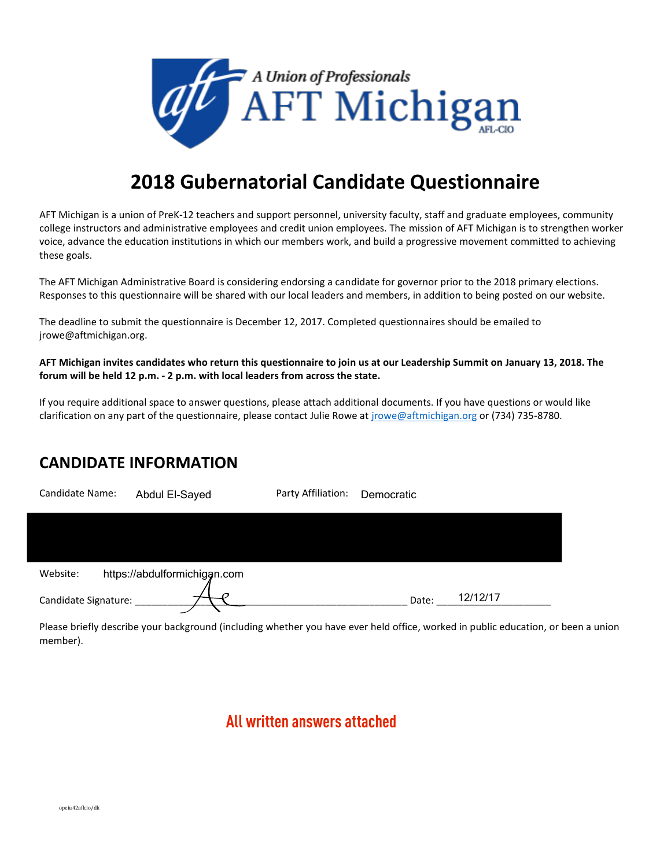

# **2018 Gubernatorial Candidate Questionnaire**

AFT Michigan is a union of PreK-12 teachers and support personnel, university faculty, staff and graduate employees, community college instructors and administrative employees and credit union employees. The mission of AFT Michigan is to strengthen worker voice, advance the education institutions in which our members work, and build a progressive movement committed to achieving these goals.

The AFT Michigan Administrative Board is considering endorsing a candidate for governor prior to the 2018 primary elections. Responses to this questionnaire will be shared with our local leaders and members, in addition to being posted on our website.

The deadline to submit the questionnaire is December 12, 2017. Completed questionnaires should be emailed to jrowe@aftmichigan.org.

**AFT Michigan invites candidates who return this questionnaire to join us at our Leadership Summit on January 13, 2018. The forum will be held 12 p.m. - 2 p.m. with local leaders from across the state.**

If you require additional space to answer questions, please attach additional documents. If you have questions or would like clarification on any part of the questionnaire, please contact Julie Rowe at [jrowe@aftmichigan.org](mailto:jrowe@aftmichigan.org) or (734) 735-8780.

# **CANDIDATE INFORMATION**

| Candidate Name:      | Abdul El-Sayed               | Party Affiliation: | Democratic |          |
|----------------------|------------------------------|--------------------|------------|----------|
|                      |                              |                    |            |          |
|                      |                              |                    |            |          |
| Website:             | https://abdulformichigan.com |                    |            |          |
| Candidate Signature: |                              |                    | Date:      | 12/12/17 |

Please briefly describe your background (including whether you have ever held office, worked in public education, or been a union member).

# **All written answers attached**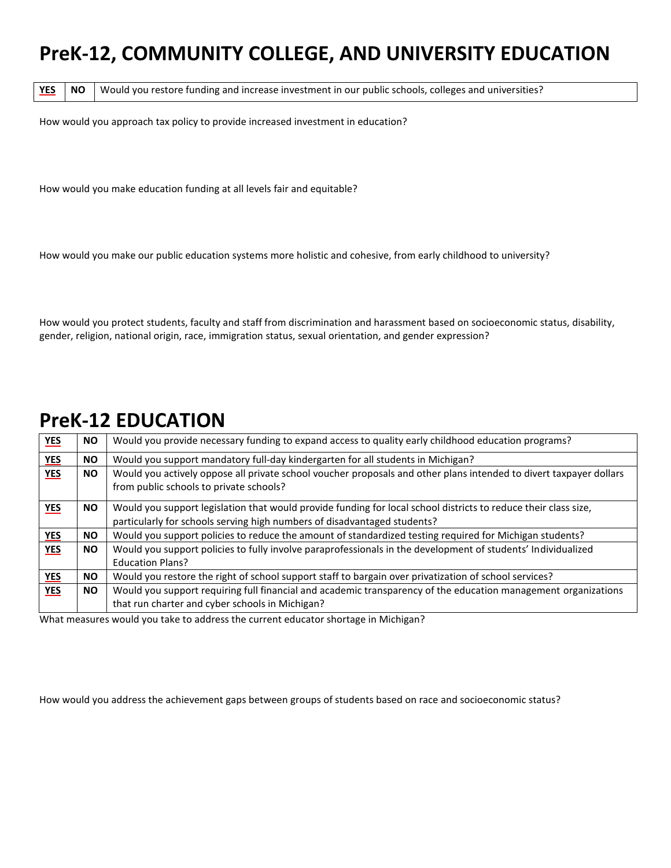# **PreK-12, COMMUNITY COLLEGE, AND UNIVERSITY EDUCATION**

YES **NO** Would you restore funding and increase investment in our public schools, colleges and universities?

How would you approach tax policy to provide increased investment in education?

How would you make education funding at all levels fair and equitable?

How would you make our public education systems more holistic and cohesive, from early childhood to university?

How would you protect students, faculty and staff from discrimination and harassment based on socioeconomic status, disability, gender, religion, national origin, race, immigration status, sexual orientation, and gender expression?

# **PreK-12 EDUCATION**

| YES        | <b>NO</b> | Would you provide necessary funding to expand access to quality early childhood education programs?                                                                                         |
|------------|-----------|---------------------------------------------------------------------------------------------------------------------------------------------------------------------------------------------|
| <b>YES</b> | <b>NO</b> | Would you support mandatory full-day kindergarten for all students in Michigan?                                                                                                             |
| <b>YES</b> | <b>NO</b> | Would you actively oppose all private school voucher proposals and other plans intended to divert taxpayer dollars<br>from public schools to private schools?                               |
| <b>YES</b> | <b>NO</b> | Would you support legislation that would provide funding for local school districts to reduce their class size,<br>particularly for schools serving high numbers of disadvantaged students? |
| YES        | <b>NO</b> | Would you support policies to reduce the amount of standardized testing required for Michigan students?                                                                                     |
| <b>YES</b> | <b>NO</b> | Would you support policies to fully involve paraprofessionals in the development of students' Individualized<br><b>Education Plans?</b>                                                     |
| <b>YES</b> | <b>NO</b> | Would you restore the right of school support staff to bargain over privatization of school services?                                                                                       |
| <b>YES</b> | <b>NO</b> | Would you support requiring full financial and academic transparency of the education management organizations<br>that run charter and cyber schools in Michigan?                           |

What measures would you take to address the current educator shortage in Michigan?

How would you address the achievement gaps between groups of students based on race and socioeconomic status?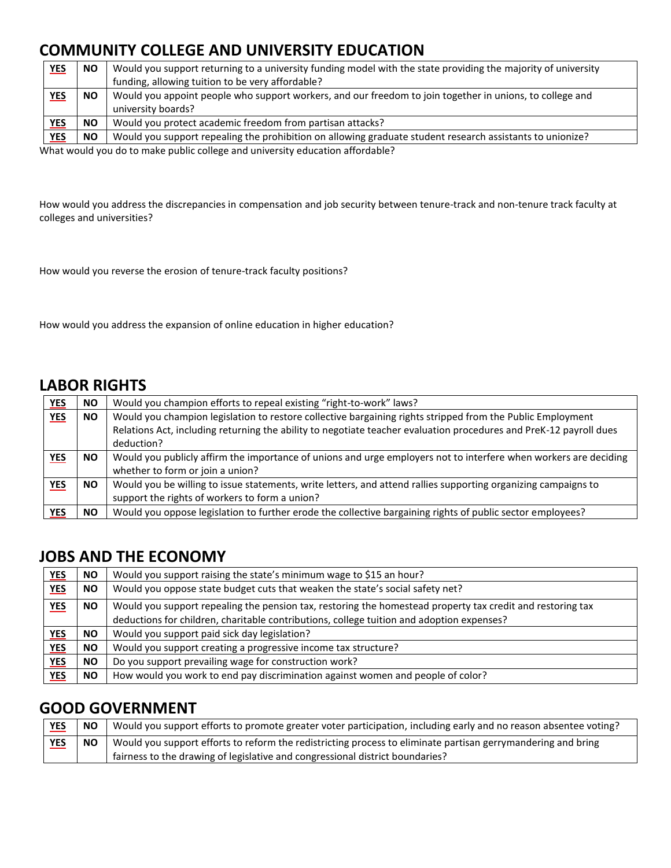# **COMMUNITY COLLEGE AND UNIVERSITY EDUCATION**

| <b>NO</b> | Would you support returning to a university funding model with the state providing the majority of university<br>funding, allowing tuition to be very affordable? |
|-----------|-------------------------------------------------------------------------------------------------------------------------------------------------------------------|
| <b>NO</b> | Would you appoint people who support workers, and our freedom to join together in unions, to college and<br>university boards?                                    |
| <b>NO</b> | Would you protect academic freedom from partisan attacks?                                                                                                         |
| <b>NO</b> | Would you support repealing the prohibition on allowing graduate student research assistants to unionize?                                                         |
|           |                                                                                                                                                                   |

What would you do to make public college and university education affordable?

How would you address the discrepancies in compensation and job security between tenure-track and non-tenure track faculty at colleges and universities?

How would you reverse the erosion of tenure-track faculty positions?

How would you address the expansion of online education in higher education?

# **LABOR RIGHTS**

| <b>YES</b> | NO.       | Would you champion efforts to repeal existing "right-to-work" laws?                                                |  |
|------------|-----------|--------------------------------------------------------------------------------------------------------------------|--|
| <b>YES</b> | <b>NO</b> | Would you champion legislation to restore collective bargaining rights stripped from the Public Employment         |  |
|            |           | Relations Act, including returning the ability to negotiate teacher evaluation procedures and PreK-12 payroll dues |  |
|            |           | deduction?                                                                                                         |  |
| <b>YES</b> | NO.       | Would you publicly affirm the importance of unions and urge employers not to interfere when workers are deciding   |  |
|            |           | whether to form or join a union?                                                                                   |  |
| <b>YES</b> | <b>NO</b> | Would you be willing to issue statements, write letters, and attend rallies supporting organizing campaigns to     |  |
|            |           | support the rights of workers to form a union?                                                                     |  |
| YES        | NO.       | Would you oppose legislation to further erode the collective bargaining rights of public sector employees?         |  |

# **JOBS AND THE ECONOMY**

| <b>YES</b> | <b>NO</b> | Would you support raising the state's minimum wage to \$15 an hour?                                        |
|------------|-----------|------------------------------------------------------------------------------------------------------------|
| <b>YES</b> | NO.       | Would you oppose state budget cuts that weaken the state's social safety net?                              |
| <b>YES</b> | NO.       | Would you support repealing the pension tax, restoring the homestead property tax credit and restoring tax |
|            |           | deductions for children, charitable contributions, college tuition and adoption expenses?                  |
| <b>YES</b> | NO.       | Would you support paid sick day legislation?                                                               |
| <b>YES</b> | <b>NO</b> | Would you support creating a progressive income tax structure?                                             |
| <b>YES</b> | NO.       | Do you support prevailing wage for construction work?                                                      |
| <b>YES</b> | NO.       | How would you work to end pay discrimination against women and people of color?                            |

# **GOOD GOVERNMENT**

| <b>YES</b> | <b>NO</b> | Would you support efforts to promote greater voter participation, including early and no reason absentee voting? |
|------------|-----------|------------------------------------------------------------------------------------------------------------------|
| <b>YES</b> | <b>NO</b> | Would you support efforts to reform the redistricting process to eliminate partisan gerrymandering and bring     |
|            |           | fairness to the drawing of legislative and congressional district boundaries?                                    |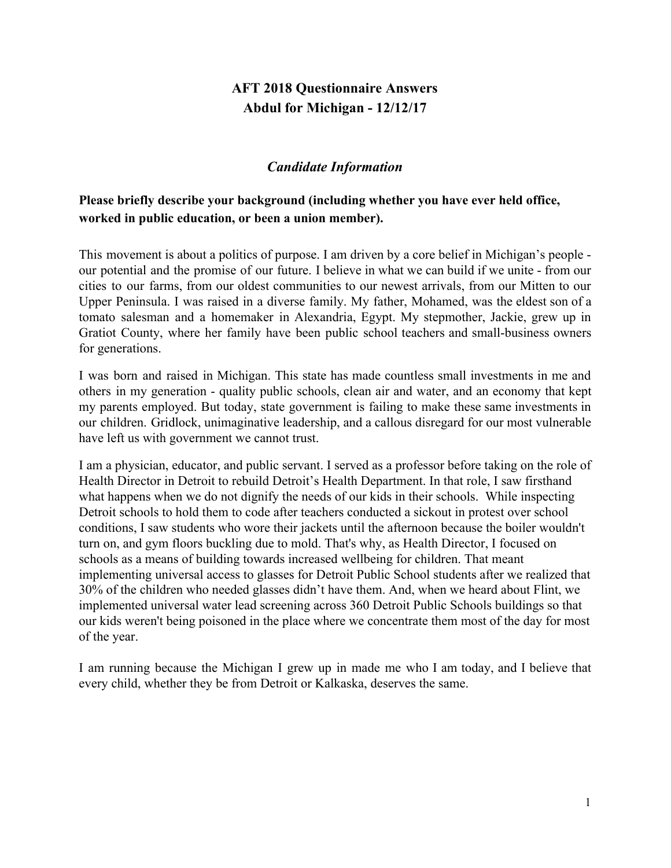# **AFT 2018 Questionnaire Answers Abdul for Michigan - 12/12/17**

## *Candidate Information*

## **Please briefly describe your background (including whether you have ever held office, worked in public education, or been a union member).**

This movement is about a politics of purpose. I am driven by a core belief in Michigan's people our potential and the promise of our future. I believe in what we can build if we unite - from our cities to our farms, from our oldest communities to our newest arrivals, from our Mitten to our Upper Peninsula. I was raised in a diverse family. My father, Mohamed, was the eldest son of a tomato salesman and a homemaker in Alexandria, Egypt. My stepmother, Jackie, grew up in Gratiot County, where her family have been public school teachers and small-business owners for generations.

I was born and raised in Michigan. This state has made countless small investments in me and others in my generation - quality public schools, clean air and water, and an economy that kept my parents employed. But today, state government is failing to make these same investments in our children. Gridlock, unimaginative leadership, and a callous disregard for our most vulnerable have left us with government we cannot trust.

I am a physician, educator, and public servant. I served as a professor before taking on the role of Health Director in Detroit to rebuild Detroit's Health Department. In that role, I saw firsthand what happens when we do not dignify the needs of our kids in their schools. While inspecting Detroit schools to hold them to code after teachers conducted a sickout in protest over school conditions, I saw students who wore their jackets until the afternoon because the boiler wouldn't turn on, and gym floors buckling due to mold. That's why, as Health Director, I focused on schools as a means of building towards increased wellbeing for children. That meant implementing universal access to glasses for Detroit Public School students after we realized that 30% of the children who needed glasses didn't have them. And, when we heard about Flint, we implemented universal water lead screening across 360 Detroit Public Schools buildings so that our kids weren't being poisoned in the place where we concentrate them most of the day for most of the year.

I am running because the Michigan I grew up in made me who I am today, and I believe that every child, whether they be from Detroit or Kalkaska, deserves the same.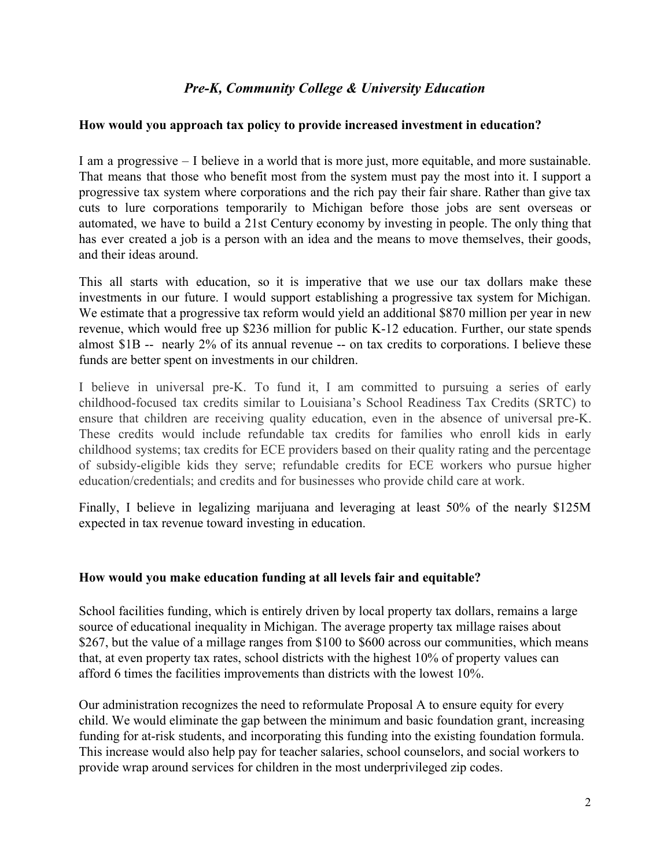## *Pre-K, Community College & University Education*

#### **How would you approach tax policy to provide increased investment in education?**

I am a progressive – I believe in a world that is more just, more equitable, and more sustainable. That means that those who benefit most from the system must pay the most into it. I support a progressive tax system where corporations and the rich pay their fair share. Rather than give tax cuts to lure corporations temporarily to Michigan before those jobs are sent overseas or automated, we have to build a 21st Century economy by investing in people. The only thing that has ever created a job is a person with an idea and the means to move themselves, their goods, and their ideas around.

This all starts with education, so it is imperative that we use our tax dollars make these investments in our future. I would support establishing a progressive tax system for Michigan. We estimate that a progressive tax reform would yield an additional \$870 million per year in new revenue, which would free up \$236 million for public K-12 education. Further, our state spends almost \$1B -- nearly 2% of its annual revenue -- on tax credits to corporations. I believe these funds are better spent on investments in our children.

I believe in universal pre-K. To fund it, I am committed to pursuing a series of early childhood-focused tax credits similar to Louisiana's School Readiness Tax Credits (SRTC) to ensure that children are receiving quality education, even in the absence of universal pre-K. These credits would include refundable tax credits for families who enroll kids in early childhood systems; tax credits for ECE providers based on their quality rating and the percentage of subsidy-eligible kids they serve; refundable credits for ECE workers who pursue higher education/credentials; and credits and for businesses who provide child care at work.

Finally, I believe in legalizing marijuana and leveraging at least 50% of the nearly \$125M expected in tax revenue toward investing in education.

#### **How would you make education funding at all levels fair and equitable?**

School facilities funding, which is entirely driven by local property tax dollars, remains a large source of educational inequality in Michigan. The average property tax millage raises about \$267, but the value of a millage ranges from \$100 to \$600 across our communities, which means that, at even property tax rates, school districts with the highest 10% of property values can afford 6 times the facilities improvements than districts with the lowest 10%.

Our administration recognizes the need to reformulate Proposal A to ensure equity for every child. We would eliminate the gap between the minimum and basic foundation grant, increasing funding for at-risk students, and incorporating this funding into the existing foundation formula. This increase would also help pay for teacher salaries, school counselors, and social workers to provide wrap around services for children in the most underprivileged zip codes.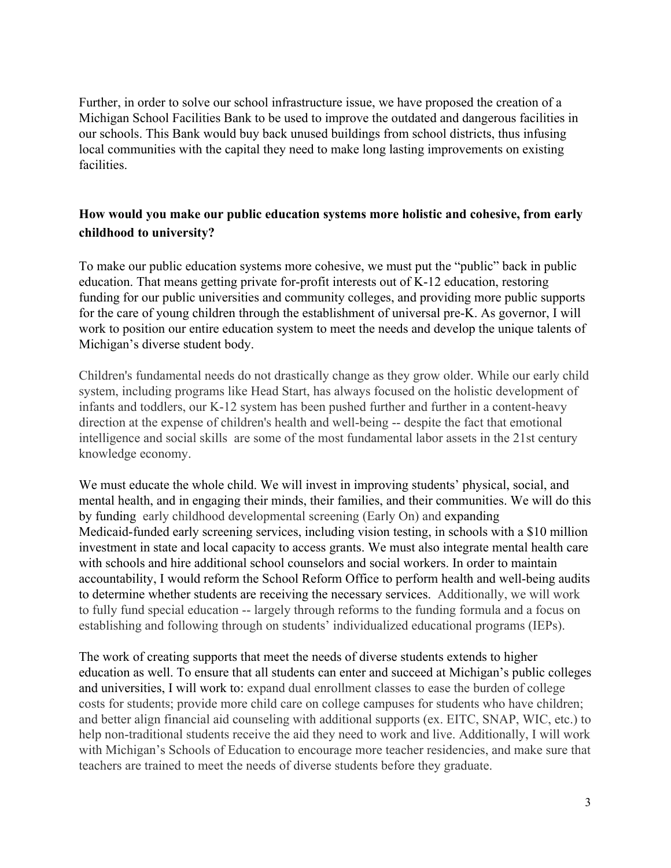Further, in order to solve our school infrastructure issue, we have proposed the creation of a Michigan School Facilities Bank to be used to improve the outdated and dangerous facilities in our schools. This Bank would buy back unused buildings from school districts, thus infusing local communities with the capital they need to make long lasting improvements on existing facilities.

## **How would you make our public education systems more holistic and cohesive, from early childhood to university?**

To make our public education systems more cohesive, we must put the "public" back in public education. That means getting private for-profit interests out of K-12 education, restoring funding for our public universities and community colleges, and providing more public supports for the care of young children through the establishment of universal pre-K. As governor, I will work to position our entire education system to meet the needs and develop the unique talents of Michigan's diverse student body.

Children's fundamental needs do not drastically change as they grow older. While our early child system, including programs like Head Start, has always focused on the holistic development of infants and toddlers, our K-12 system has been pushed further and further in a content-heavy direction at the expense of children's health and well-being -- despite the fact that emotional intelligence and social skills are some of the most fundamental labor assets in the 21st century knowledge economy.

We must educate the whole child. We will invest in improving students' physical, social, and mental health, and in engaging their minds, their families, and their communities. We will do this by funding early childhood developmental screening (Early On) and expanding Medicaid-funded early screening services, including vision testing, in schools with a \$10 million investment in state and local capacity to access grants. We must also integrate mental health care with schools and hire additional school counselors and social workers. In order to maintain accountability, I would reform the School Reform Office to perform health and well-being audits to determine whether students are receiving the necessary services. Additionally, we will work to fully fund special education -- largely through reforms to the funding formula and a focus on establishing and following through on students' individualized educational programs (IEPs).

The work of creating supports that meet the needs of diverse students extends to higher education as well. To ensure that all students can enter and succeed at Michigan's public colleges and universities, I will work to: expand dual enrollment classes to ease the burden of college costs for students; provide more child care on college campuses for students who have children; and better align financial aid counseling with additional supports (ex. EITC, SNAP, WIC, etc.) to help non-traditional students receive the aid they need to work and live. Additionally, I will work with Michigan's Schools of Education to encourage more teacher residencies, and make sure that teachers are trained to meet the needs of diverse students before they graduate.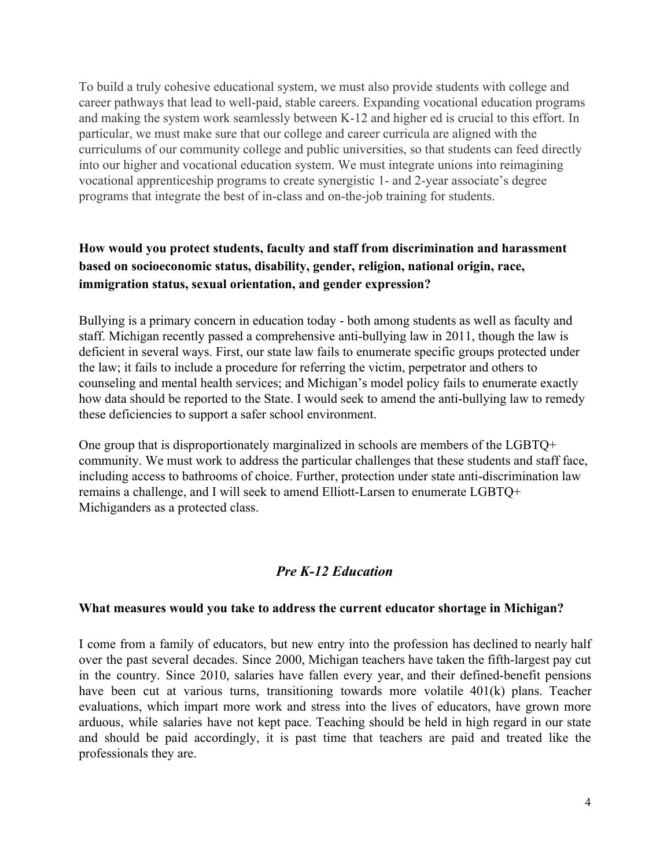To build a truly cohesive educational system, we must also provide students with college and career pathways that lead to well-paid, stable careers. Expanding vocational education programs and making the system work seamlessly between K-12 and higher ed is crucial to this effort. In particular, we must make sure that our college and career curricula are aligned with the curriculums of our community college and public universities, so that students can feed directly into our higher and vocational education system. We must integrate unions into reimagining vocational apprenticeship programs to create synergistic 1- and 2-year associate's degree programs that integrate the best of in-class and on-the-job training for students.

# **How would you protect students, faculty and staff from discrimination and harassment based on socioeconomic status, disability, gender, religion, national origin, race, immigration status, sexual orientation, and gender expression?**

Bullying is a primary concern in education today - both among students as well as faculty and staff. Michigan recently passed a comprehensive anti-bullying law in 2011, though the law is deficient in several ways. First, our state law fails to enumerate specific groups protected under the law; it fails to include a procedure for referring the victim, perpetrator and others to counseling and mental health services; and Michigan's model policy fails to enumerate exactly how data should be reported to the State. I would seek to amend the anti-bullying law to remedy these deficiencies to support a safer school environment.

One group that is disproportionately marginalized in schools are members of the LGBTQ+ community. We must work to address the particular challenges that these students and staff face, including access to bathrooms of choice. Further, protection under state anti-discrimination law remains a challenge, and I will seek to amend Elliott-Larsen to enumerate LGBTQ+ Michiganders as a protected class.

## *Pre K-12 Education*

#### **What measures would you take to address the current educator shortage in Michigan?**

I come from a family of educators, but new entry into the profession has declined to nearly half over the past several decades. Since 2000, Michigan teachers have taken the fifth-largest pay cut in the country. Since 2010, salaries have fallen every year, and their defined-benefit pensions have been cut at various turns, transitioning towards more volatile 401(k) plans. Teacher evaluations, which impart more work and stress into the lives of educators, have grown more arduous, while salaries have not kept pace. Teaching should be held in high regard in our state and should be paid accordingly, it is past time that teachers are paid and treated like the professionals they are.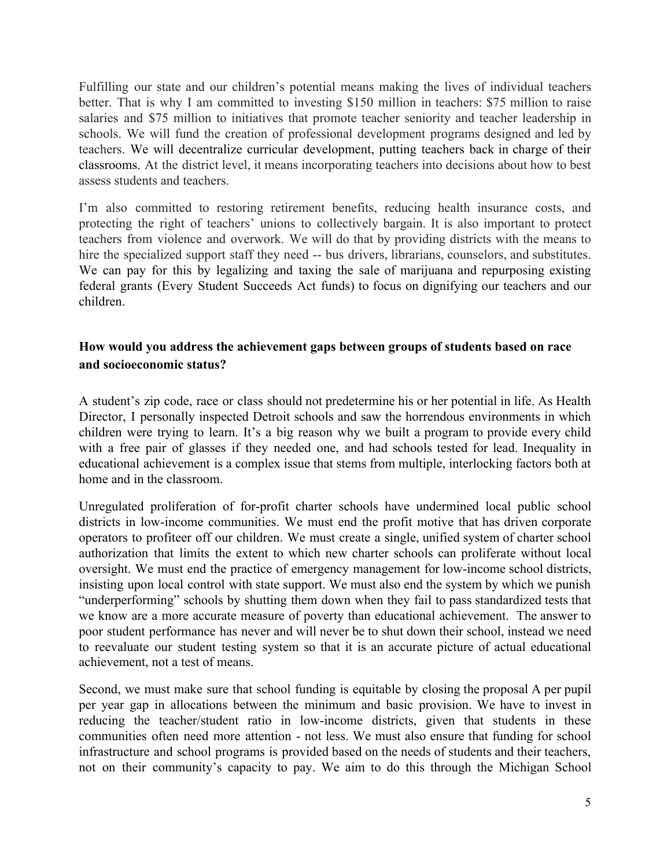Fulfilling our state and our children's potential means making the lives of individual teachers better. That is why I am committed to investing \$150 million in teachers: \$75 million to raise salaries and \$75 million to initiatives that promote teacher seniority and teacher leadership in schools. We will fund the creation of professional development programs designed and led by teachers. We will decentralize curricular development, putting teachers back in charge of their classrooms. At the district level, it means incorporating teachers into decisions about how to best assess students and teachers.

I'm also committed to restoring retirement benefits, reducing health insurance costs, and protecting the right of teachers' unions to collectively bargain. It is also important to protect teachers from violence and overwork. We will do that by providing districts with the means to hire the specialized support staff they need -- bus drivers, librarians, counselors, and substitutes. We can pay for this by legalizing and taxing the sale of marijuana and repurposing existing federal grants (Every Student Succeeds Act funds) to focus on dignifying our teachers and our children.

## **How would you address the achievement gaps between groups of students based on race and socioeconomic status?**

A student's zip code, race or class should not predetermine his or her potential in life. As Health Director, I personally inspected Detroit schools and saw the horrendous environments in which children were trying to learn. It's a big reason why we built a program to provide every child with a free pair of glasses if they needed one, and had schools tested for lead. Inequality in educational achievement is a complex issue that stems from multiple, interlocking factors both at home and in the classroom.

Unregulated proliferation of for-profit charter schools have undermined local public school districts in low-income communities. We must end the profit motive that has driven corporate operators to profiteer off our children. We must create a single, unified system of charter school authorization that limits the extent to which new charter schools can proliferate without local oversight. We must end the practice of emergency management for low-income school districts, insisting upon local control with state support. We must also end the system by which we punish "underperforming" schools by shutting them down when they fail to pass standardized tests that we know are a more accurate measure of poverty than educational achievement. The answer to poor student performance has never and will never be to shut down their school, instead we need to reevaluate our student testing system so that it is an accurate picture of actual educational achievement, not a test of means.

Second, we must make sure that school funding is equitable by closing the proposal A per pupil per year gap in allocations between the minimum and basic provision. We have to invest in reducing the teacher/student ratio in low-income districts, given that students in these communities often need more attention - not less. We must also ensure that funding for school infrastructure and school programs is provided based on the needs of students and their teachers, not on their community's capacity to pay. We aim to do this through the Michigan School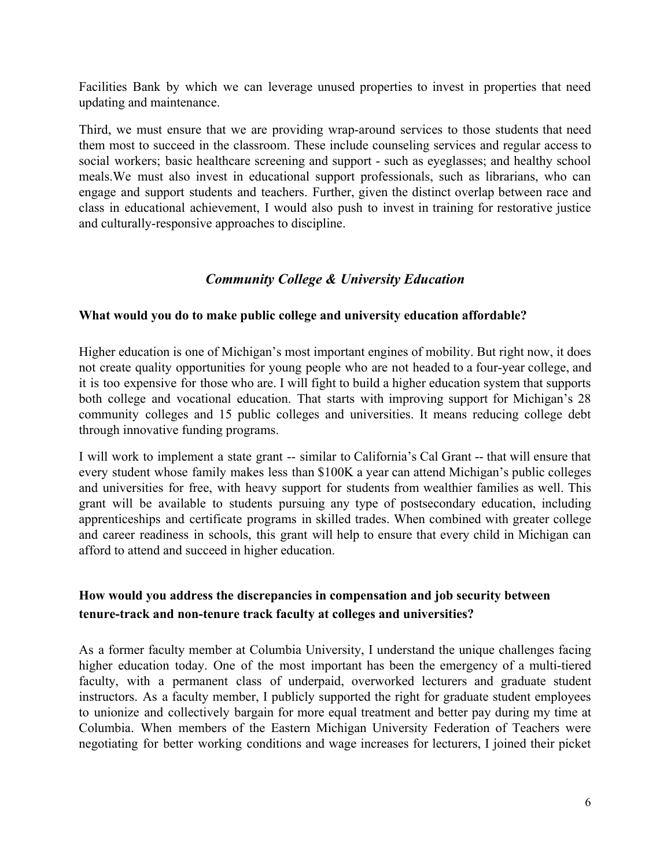Facilities Bank by which we can leverage unused properties to invest in properties that need updating and maintenance.

Third, we must ensure that we are providing wrap-around services to those students that need them most to succeed in the classroom. These include counseling services and regular access to social workers; basic healthcare screening and support - such as eyeglasses; and healthy school meals.We must also invest in educational support professionals, such as librarians, who can engage and support students and teachers. Further, given the distinct overlap between race and class in educational achievement, I would also push to invest in training for restorative justice and culturally-responsive approaches to discipline.

### *Community College & University Education*

#### **What would you do to make public college and university education affordable?**

Higher education is one of Michigan's most important engines of mobility. But right now, it does not create quality opportunities for young people who are not headed to a four-year college, and it is too expensive for those who are. I will fight to build a higher education system that supports both college and vocational education. That starts with improving support for Michigan's 28 community colleges and 15 public colleges and universities. It means reducing college debt through innovative funding programs.

I will work to implement a state grant -- similar to California's Cal Grant -- that will ensure that every student whose family makes less than \$100K a year can attend Michigan's public colleges and universities for free, with heavy support for students from wealthier families as well. This grant will be available to students pursuing any type of postsecondary education, including apprenticeships and certificate programs in skilled trades. When combined with greater college and career readiness in schools, this grant will help to ensure that every child in Michigan can afford to attend and succeed in higher education.

### **How would you address the discrepancies in compensation and job security between tenure-track and non-tenure track faculty at colleges and universities?**

As a former faculty member at Columbia University, I understand the unique challenges facing higher education today. One of the most important has been the emergency of a multi-tiered faculty, with a permanent class of underpaid, overworked lecturers and graduate student instructors. As a faculty member, I publicly supported the right for graduate student employees to unionize and collectively bargain for more equal treatment and better pay during my time at Columbia. When members of the Eastern Michigan University Federation of Teachers were negotiating for better working conditions and wage increases for lecturers, I joined their picket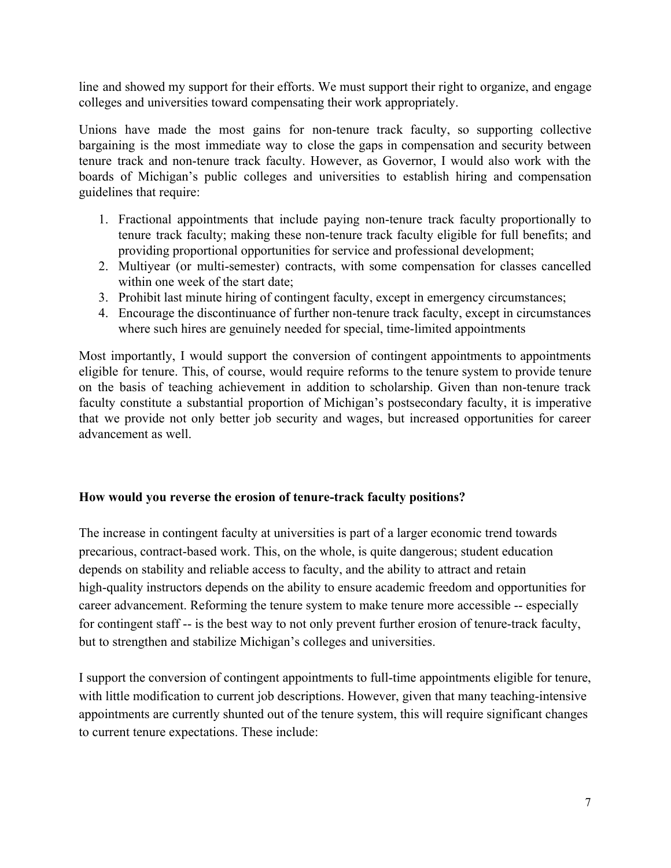line and showed my support for their efforts. We must support their right to organize, and engage colleges and universities toward compensating their work appropriately.

Unions have made the most gains for non-tenure track faculty, so supporting collective bargaining is the most immediate way to close the gaps in compensation and security between tenure track and non-tenure track faculty. However, as Governor, I would also work with the boards of Michigan's public colleges and universities to establish hiring and compensation guidelines that require:

- 1. Fractional appointments that include paying non-tenure track faculty proportionally to tenure track faculty; making these non-tenure track faculty eligible for full benefits; and providing proportional opportunities for service and professional development;
- 2. Multiyear (or multi-semester) contracts, with some compensation for classes cancelled within one week of the start date;
- 3. Prohibit last minute hiring of contingent faculty, except in emergency circumstances;
- 4. Encourage the discontinuance of further non-tenure track faculty, except in circumstances where such hires are genuinely needed for special, time-limited appointments

Most importantly, I would support the conversion of contingent appointments to appointments eligible for tenure. This, of course, would require reforms to the tenure system to provide tenure on the basis of teaching achievement in addition to scholarship. Given than non-tenure track faculty constitute a substantial proportion of Michigan's postsecondary faculty, it is imperative that we provide not only better job security and wages, but increased opportunities for career advancement as well.

## **How would you reverse the erosion of tenure-track faculty positions?**

The increase in contingent faculty at universities is part of a larger economic trend towards precarious, contract-based work. This, on the whole, is quite dangerous; student education depends on stability and reliable access to faculty, and the ability to attract and retain high-quality instructors depends on the ability to ensure academic freedom and opportunities for career advancement. Reforming the tenure system to make tenure more accessible -- especially for contingent staff -- is the best way to not only prevent further erosion of tenure-track faculty, but to strengthen and stabilize Michigan's colleges and universities.

I support the conversion of contingent appointments to full-time appointments eligible for tenure, with little modification to current job descriptions. However, given that many teaching-intensive appointments are currently shunted out of the tenure system, this will require significant changes to current tenure expectations. These include: